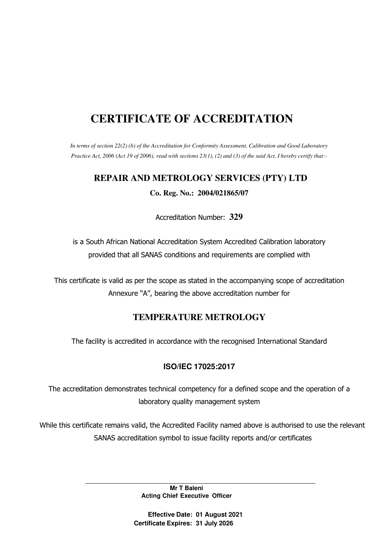# **CERTIFICATE OF ACCREDITATION**

*In terms of section 22(2) (b) of the Accreditation for Conformity Assessment, Calibration and Good Laboratory Practice Act, 2006 (Act 19 of 2006), read with sections 23(1), (2) and (3) of the said Act, I hereby certify that:-*

### **REPAIR AND METROLOGY SERVICES (PTY) LTD**

**Co. Reg. No.: 2004/021865/07**

Accreditation Number: **329**

is a South African National Accreditation System Accredited Calibration laboratory provided that all SANAS conditions and requirements are complied with

This certificate is valid as per the scope as stated in the accompanying scope of accreditation Annexure "A", bearing the above accreditation number for

## **TEMPERATURE METROLOGY**

The facility is accredited in accordance with the recognised International Standard

### **ISO/IEC 17025:2017**

The accreditation demonstrates technical competency for a defined scope and the operation of a laboratory quality management system

While this certificate remains valid, the Accredited Facility named above is authorised to use the relevant SANAS accreditation symbol to issue facility reports and/or certificates

> **Mr T Baleni Acting Chief Executive Officer**

**Effective Date: 01 August 2021 Certificate Expires: 31 July 2026**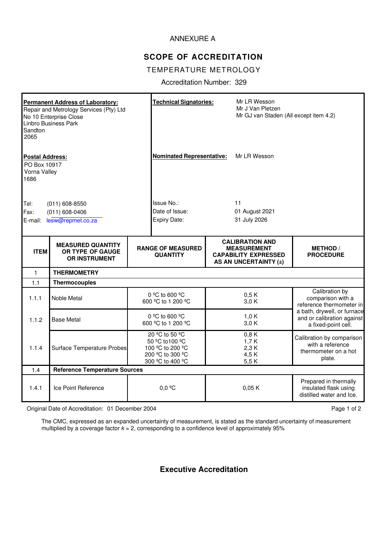#### ANNEXURE A

## **SCOPE OF ACCREDITATION**

#### TEMPERATURE METROLOGY

Accreditation Number: 329

| <b>Permanent Address of Laboratory:</b><br>Repair and Metrology Services (Pty) Ltd<br>No 10 Enterprise Close<br>Linbro Business Park<br>Sandton<br>2065<br><b>Postal Address:</b><br>PO Box 10917<br>Vorna Valley<br>1686 |                                                                      |                                                     | <b>Technical Signatories:</b><br><b>Nominated Representative:</b>                             |                                      | Mr LR Wesson<br>Mr J Van Pletzen<br>Mr GJ van Staden (All except item 4.2)<br>Mr LR Wesson           |                                                                                                                                                     |  |
|---------------------------------------------------------------------------------------------------------------------------------------------------------------------------------------------------------------------------|----------------------------------------------------------------------|-----------------------------------------------------|-----------------------------------------------------------------------------------------------|--------------------------------------|------------------------------------------------------------------------------------------------------|-----------------------------------------------------------------------------------------------------------------------------------------------------|--|
| $(011) 608 - 8550$<br>Tel:<br>Fax:<br>$(011) 608 - 0406$<br>E-mail: lesw@repmet.co.za                                                                                                                                     |                                                                      | Issue No.:<br>Date of Issue:<br><b>Expiry Date:</b> |                                                                                               | 11<br>01 August 2021<br>31 July 2026 |                                                                                                      |                                                                                                                                                     |  |
| <b>ITEM</b>                                                                                                                                                                                                               | <b>MEASURED QUANTITY</b><br>OR TYPE OF GAUGE<br><b>OR INSTRUMENT</b> |                                                     | <b>RANGE OF MEASURED</b><br><b>QUANTITY</b>                                                   |                                      | <b>CALIBRATION AND</b><br><b>MEASUREMENT</b><br><b>CAPABILITY EXPRESSED</b><br>AS AN UNCERTAINTY (±) | <b>METHOD</b> /<br><b>PROCEDURE</b>                                                                                                                 |  |
| $\mathbf{1}$                                                                                                                                                                                                              | <b>THERMOMETRY</b>                                                   |                                                     |                                                                                               |                                      |                                                                                                      |                                                                                                                                                     |  |
| 1.1                                                                                                                                                                                                                       | <b>Thermocouples</b>                                                 |                                                     |                                                                                               |                                      |                                                                                                      |                                                                                                                                                     |  |
| 1.1.1                                                                                                                                                                                                                     | Noble Metal                                                          |                                                     | 0 °C to 600 °C<br>600 °C to 1 200 °C                                                          |                                      | 0,5 K<br>3,0 K                                                                                       | Calibration by<br>comparison with a<br>reference thermometer in<br>a bath, drywell, or furnace<br>and or calibration against<br>a fixed-point cell. |  |
| 1.1.2                                                                                                                                                                                                                     | <b>Base Metal</b>                                                    |                                                     | 0 °C to 600 °C<br>600 °C to 1 200 °C                                                          |                                      | 1,0K<br>3,0 K                                                                                        |                                                                                                                                                     |  |
| 1.1.4                                                                                                                                                                                                                     | <b>Surface Temperature Probes</b>                                    |                                                     | 20 °C to 50 °C<br>50 °C to 100 °C<br>100 °C to 200 °C<br>200 °C to 300 °C<br>300 °C to 400 °C |                                      | 0,8K<br>1,7K<br>2,3 K<br>4,5K<br>5,5K                                                                | Calibration by comparison<br>with a reference<br>thermometer on a hot<br>plate.                                                                     |  |
| 1.4                                                                                                                                                                                                                       |                                                                      | <b>Reference Temperature Sources</b>                |                                                                                               |                                      |                                                                                                      |                                                                                                                                                     |  |
| 1.4.1                                                                                                                                                                                                                     | Ice Point Reference                                                  | $0,0$ <sup>o</sup> C                                |                                                                                               |                                      | 0,05K                                                                                                | Prepared in thermally<br>insulated flask using<br>distilled water and Ice.                                                                          |  |

Original Date of Accreditation: 01 December 2004 **Page 1 of 2** Page 1 of 2

The CMC, expressed as an expanded uncertainty of measurement, is stated as the standard uncertainty of measurement multiplied by a coverage factor  $k = 2$ , corresponding to a confidence level of approximately 95%

**Executive Accreditation**